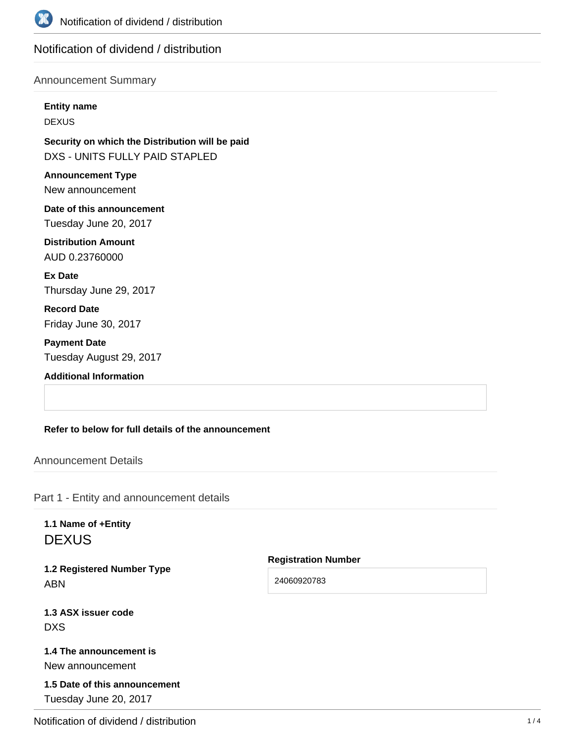

# Notification of dividend / distribution

### Announcement Summary

#### **Entity name**

DEXUS

**Security on which the Distribution will be paid** DXS - UNITS FULLY PAID STAPLED

**Announcement Type** New announcement

**Date of this announcement** Tuesday June 20, 2017

**Distribution Amount** AUD 0.23760000

**Ex Date** Thursday June 29, 2017

**Record Date** Friday June 30, 2017

**Payment Date** Tuesday August 29, 2017

**Additional Information**

#### **Refer to below for full details of the announcement**

Announcement Details

Part 1 - Entity and announcement details

**1.1 Name of +Entity DEXUS** 

**1.2 Registered Number Type** ABN

**Registration Number**

24060920783

**1.3 ASX issuer code** DXS

**1.4 The announcement is** New announcement

**1.5 Date of this announcement** Tuesday June 20, 2017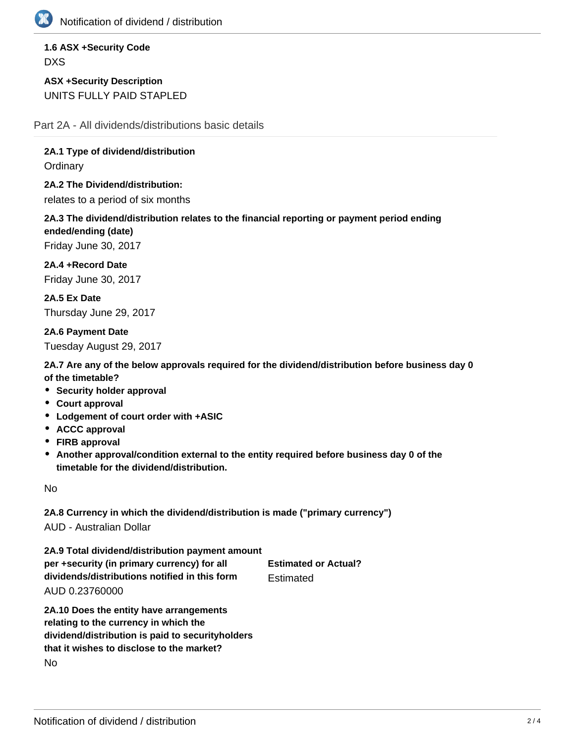

**1.6 ASX +Security Code** DXS

**ASX +Security Description** UNITS FULLY PAID STAPLED

Part 2A - All dividends/distributions basic details

**2A.1 Type of dividend/distribution**

**Ordinary** 

**2A.2 The Dividend/distribution:**

relates to a period of six months

**2A.3 The dividend/distribution relates to the financial reporting or payment period ending ended/ending (date)**

Friday June 30, 2017

**2A.4 +Record Date** Friday June 30, 2017

**2A.5 Ex Date** Thursday June 29, 2017

**2A.6 Payment Date** Tuesday August 29, 2017

**2A.7 Are any of the below approvals required for the dividend/distribution before business day 0 of the timetable?**

- **Security holder approval**
- **Court approval**
- **Lodgement of court order with +ASIC**
- **ACCC approval**
- **FIRB approval**
- **Another approval/condition external to the entity required before business day 0 of the timetable for the dividend/distribution.**

No

**2A.8 Currency in which the dividend/distribution is made ("primary currency")** AUD - Australian Dollar

**2A.9 Total dividend/distribution payment amount per +security (in primary currency) for all dividends/distributions notified in this form** AUD 0.23760000 **Estimated or Actual? Estimated** 

**2A.10 Does the entity have arrangements relating to the currency in which the dividend/distribution is paid to securityholders that it wishes to disclose to the market?** No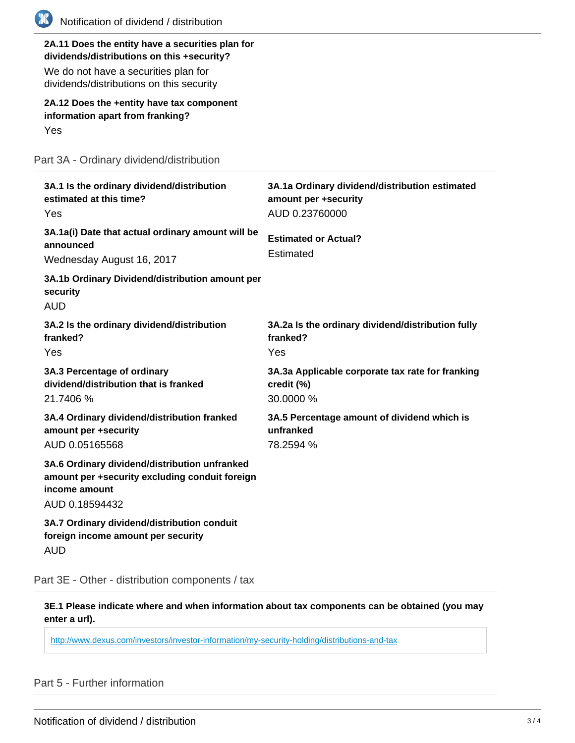| Notification of dividend / distribution                                                                                                                                            |                                                                                          |
|------------------------------------------------------------------------------------------------------------------------------------------------------------------------------------|------------------------------------------------------------------------------------------|
| 2A.11 Does the entity have a securities plan for<br>dividends/distributions on this +security?<br>We do not have a securities plan for<br>dividends/distributions on this security |                                                                                          |
| 2A.12 Does the +entity have tax component<br>information apart from franking?<br>Yes                                                                                               |                                                                                          |
| Part 3A - Ordinary dividend/distribution                                                                                                                                           |                                                                                          |
| 3A.1 Is the ordinary dividend/distribution<br>estimated at this time?<br>Yes                                                                                                       | 3A.1a Ordinary dividend/distribution estimated<br>amount per +security<br>AUD 0.23760000 |
| 3A.1a(i) Date that actual ordinary amount will be<br>announced<br>Wednesday August 16, 2017                                                                                        | <b>Estimated or Actual?</b><br>Estimated                                                 |
| 3A.1b Ordinary Dividend/distribution amount per<br>security<br><b>AUD</b>                                                                                                          |                                                                                          |
| 3A.2 Is the ordinary dividend/distribution<br>franked?<br>Yes                                                                                                                      | 3A.2a Is the ordinary dividend/distribution fully<br>franked?<br>Yes                     |
| 3A.3 Percentage of ordinary<br>dividend/distribution that is franked<br>21.7406 %                                                                                                  | 3A.3a Applicable corporate tax rate for franking<br>credit (%)<br>30.0000 %              |
| 3A.4 Ordinary dividend/distribution franked<br>amount per +security<br>AUD 0.05165568                                                                                              | 3A.5 Percentage amount of dividend which is<br>unfranked<br>78.2594 %                    |
| 3A.6 Ordinary dividend/distribution unfranked<br>amount per +security excluding conduit foreign<br>income amount<br>AUD 0.18594432                                                 |                                                                                          |
| 3A.7 Ordinary dividend/distribution conduit<br>foreign income amount per security<br><b>AUD</b>                                                                                    |                                                                                          |

Part 3E - Other - distribution components / tax

**3E.1 Please indicate where and when information about tax components can be obtained (you may enter a url).**

<http://www.dexus.com/investors/investor-information/my-security-holding/distributions-and-tax>

Part 5 - Further information

C